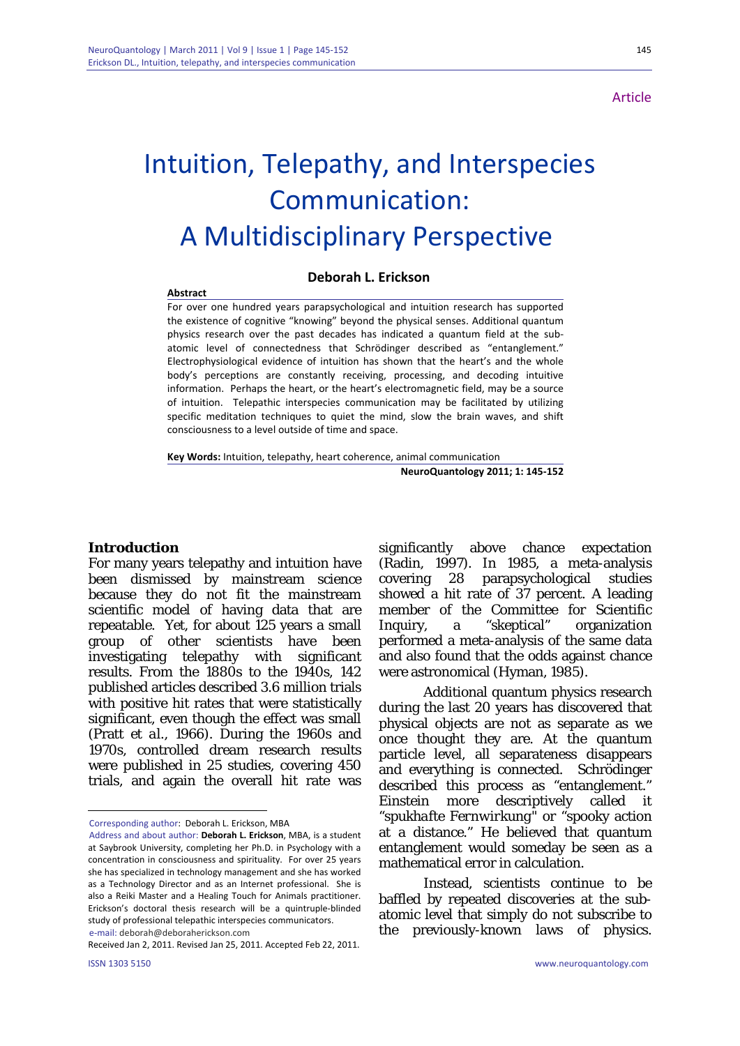#### Article

# Intuition, Telepathy, and Interspecies Communication: A Multidisciplinary Perspective

#### **Deborah L. Erickson**

#### **Abstract**

For over one hundred years parapsychological and intuition research has supported the existence of cognitive "knowing" beyond the physical senses. Additional quantum physics research over the past decades has indicated a quantum field at the sub‐ atomic level of connectedness that Schrödinger described as "entanglement." Electrophysiological evidence of intuition has shown that the heart's and the whole body's perceptions are constantly receiving, processing, and decoding intuitive information. Perhaps the heart, or the heart's electromagnetic field, may be a source of intuition. Telepathic interspecies communication may be facilitated by utilizing specific meditation techniques to quiet the mind, slow the brain waves, and shift consciousness to a level outside of time and space.

**Key Words:** Intuition, telepathy, heart coherence, animal communication **NeuroQuantology 2011; 1: 145‐152**

#### **Introduction**

For many years telepathy and intuition have been dismissed by mainstream science because they do not fit the mainstream scientific model of having data that are repeatable. Yet, for about 125 years a small group of other scientists have been investigating telepathy with significant results. From the 1880s to the 1940s, 142 published articles described 3.6 million trials with positive hit rates that were statistically significant, even though the effect was small (Pratt *et al.,* 1966). During the 1960s and 1970s, controlled dream research results were published in 25 studies, covering 450 trials, and again the overall hit rate was

Received Jan 2, 2011. Revised Jan 25, 2011. Accepted Feb 22, 2011.

1

significantly above chance expectation (Radin, 1997). In 1985, a meta-analysis covering 28 parapsychological studies showed a hit rate of 37 percent. A leading member of the Committee for Scientific Inquiry, a "skeptical" organization performed a meta-analysis of the same data and also found that the odds against chance were astronomical (Hyman, 1985).

Additional quantum physics research during the last 20 years has discovered that physical objects are not as separate as we once thought they are. At the quantum particle level, all separateness disappears and everything is connected. Schrödinger described this process as "entanglement." Einstein more descriptively called it "*spukhafte Fernwirkung*" or "spooky action at a distance." He believed that quantum entanglement would someday be seen as a mathematical error in calculation.

Instead, scientists continue to be baffled by repeated discoveries at the subatomic level that simply do not subscribe to the previously-known laws of physics.

Corresponding author: Deborah L. Erickson, MBA

Address and about author: **Deborah L. Erickson**, MBA, is a student at Saybrook University, completing her Ph.D. in Psychology with a concentration in consciousness and spirituality. For over 25 years she has specialized in technology management and she has worked as a Technology Director and as an Internet professional. She is also a Reiki Master and a Healing Touch for Animals practitioner. Erickson's doctoral thesis research will be a quintruple‐blinded study of professional telepathic interspecies communicators. e‐mail: deborah@deboraherickson.com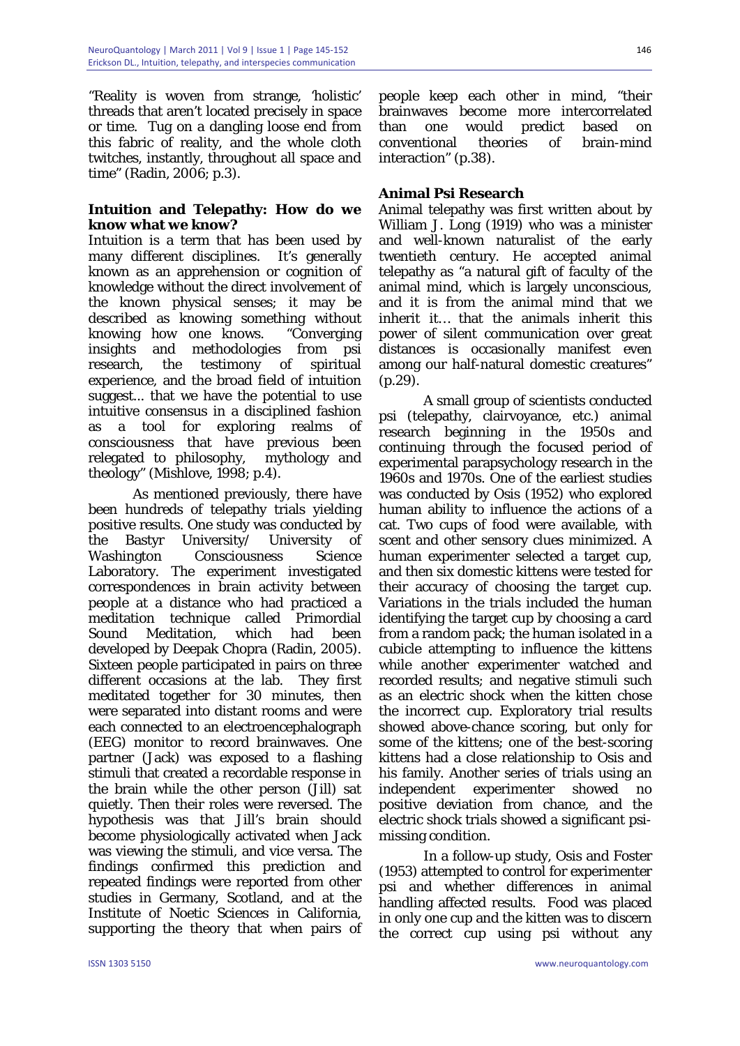"Reality is woven from strange, 'holistic' threads that aren't located precisely in space or time. Tug on a dangling loose end from this fabric of reality, and the whole cloth twitches, instantly, throughout all space and time" (Radin, 2006; p.3).

#### **Intuition and Telepathy: How do we know what we know?**

Intuition is a term that has been used by many different disciplines. It's generally known as an apprehension or cognition of knowledge without the direct involvement of the known physical senses; it may be described as knowing something without knowing *how* one knows. "Converging insights and methodologies from psi research, the testimony of spiritual experience, and the broad field of intuition suggest... that we have the potential to use intuitive consensus in a disciplined fashion as a tool for exploring realms of consciousness that have previous been relegated to philosophy, mythology and theology" (Mishlove, 1998; p.4).

As mentioned previously, there have been hundreds of telepathy trials yielding positive results. One study was conducted by the Bastyr University/ University of Washington Consciousness Science Laboratory. The experiment investigated correspondences in brain activity between people at a distance who had practiced a meditation technique called Primordial Sound Meditation, which had been developed by Deepak Chopra (Radin, 2005). Sixteen people participated in pairs on three different occasions at the lab. They first meditated together for 30 minutes, then were separated into distant rooms and were each connected to an electroencephalograph (EEG) monitor to record brainwaves. One partner (Jack) was exposed to a flashing stimuli that created a recordable response in the brain while the other person (Jill) sat quietly. Then their roles were reversed. The hypothesis was that Jill's brain should become physiologically activated when Jack was viewing the stimuli, and vice versa. The findings confirmed this prediction and repeated findings were reported from other studies in Germany, Scotland, and at the Institute of Noetic Sciences in California, supporting the theory that when pairs of

people keep each other in mind, "their brainwaves become more intercorrelated than one would predict based on conventional theories of brain-mind interaction" (p.38).

## **Animal Psi Research**

Animal telepathy was first written about by William J. Long (1919) who was a minister and well-known naturalist of the early twentieth century. He accepted animal telepathy as "a natural gift of faculty of the animal mind, which is largely unconscious, and it is from the animal mind that we inherit it… that the animals inherit this power of silent communication over great distances is occasionally manifest even among our half-natural domestic creatures" (p.29).

A small group of scientists conducted psi (telepathy, clairvoyance, etc.) animal research beginning in the 1950s and continuing through the focused period of experimental parapsychology research in the 1960s and 1970s. One of the earliest studies was conducted by Osis (1952) who explored human ability to influence the actions of a cat. Two cups of food were available, with scent and other sensory clues minimized. A human experimenter selected a target cup, and then six domestic kittens were tested for their accuracy of choosing the target cup. Variations in the trials included the human identifying the target cup by choosing a card from a random pack; the human isolated in a cubicle attempting to influence the kittens while another experimenter watched and recorded results; and negative stimuli such as an electric shock when the kitten chose the incorrect cup. Exploratory trial results showed above-chance scoring, but only for some of the kittens; one of the best-scoring kittens had a close relationship to Osis and his family. Another series of trials using an independent experimenter showed no positive deviation from chance, and the electric shock trials showed a significant psimissing condition.

In a follow-up study, Osis and Foster (1953) attempted to control for experimenter psi and whether differences in animal handling affected results. Food was placed in only one cup and the kitten was to discern the correct cup using psi without any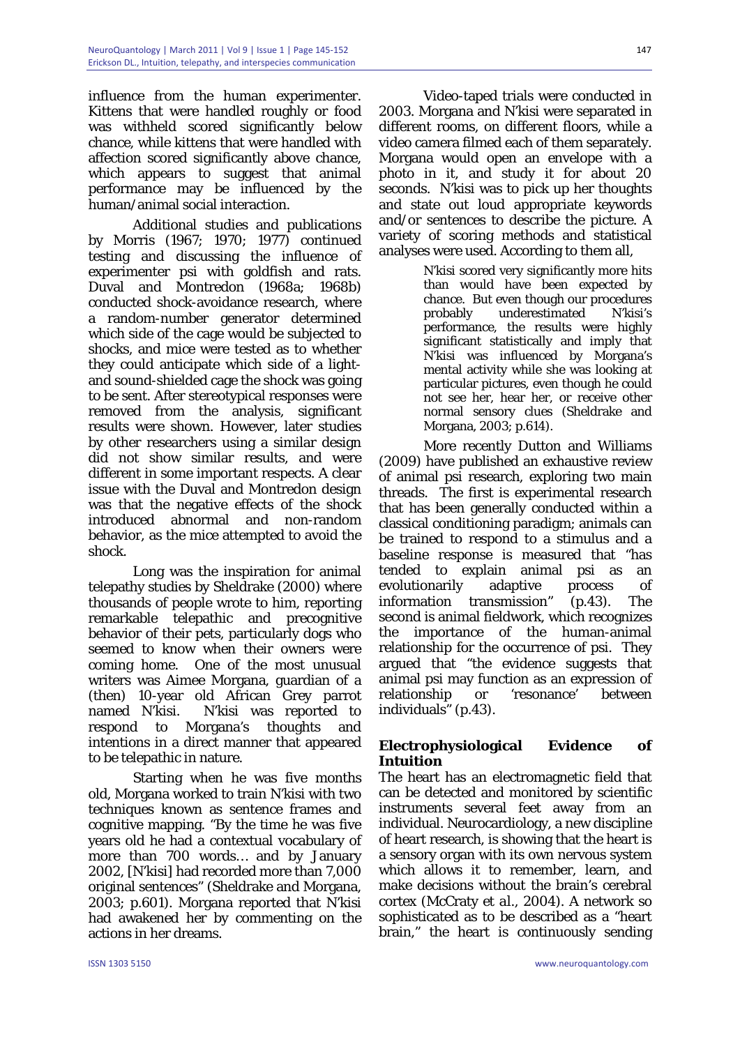influence from the human experimenter. Kittens that were handled roughly or food was withheld scored significantly below chance, while kittens that were handled with affection scored significantly above chance, which appears to suggest that animal performance may be influenced by the human/animal social interaction.

Additional studies and publications by Morris (1967; 1970; 1977) continued testing and discussing the influence of experimenter psi with goldfish and rats. Duval and Montredon (1968a; 1968b) conducted shock-avoidance research, where a random-number generator determined which side of the cage would be subjected to shocks, and mice were tested as to whether they could anticipate which side of a lightand sound-shielded cage the shock was going to be sent. After stereotypical responses were removed from the analysis, significant results were shown. However, later studies by other researchers using a similar design did not show similar results, and were different in some important respects. A clear issue with the Duval and Montredon design was that the negative effects of the shock introduced abnormal and non-random behavior, as the mice attempted to avoid the shock.

Long was the inspiration for animal telepathy studies by Sheldrake (2000) where thousands of people wrote to him, reporting remarkable telepathic and precognitive behavior of their pets, particularly dogs who seemed to know when their owners were coming home. One of the most unusual writers was Aimee Morgana, guardian of a (then) 10-year old African Grey parrot named N'kisi. N'kisi was reported to respond to Morgana's thoughts and intentions in a direct manner that appeared to be telepathic in nature.

Starting when he was five months old, Morgana worked to train N'kisi with two techniques known as sentence frames and cognitive mapping. "By the time he was five years old he had a contextual vocabulary of more than 700 words… and by January 2002, [N'kisi] had recorded more than 7,000 original sentences" (Sheldrake and Morgana, 2003; p.601). Morgana reported that N'kisi had awakened her by commenting on the actions in her dreams.

Video-taped trials were conducted in 2003. Morgana and N'kisi were separated in different rooms, on different floors, while a video camera filmed each of them separately. Morgana would open an envelope with a photo in it, and study it for about 20 seconds. N'kisi was to pick up her thoughts and state out loud appropriate keywords and/or sentences to describe the picture. A variety of scoring methods and statistical analyses were used. According to them all,

> N'kisi scored very significantly more hits than would have been expected by chance. But even though our procedures probably underestimated N'kisi's performance, the results were highly significant statistically and imply that N'kisi was influenced by Morgana's mental activity while she was looking at particular pictures, even though he could not see her, hear her, or receive other normal sensory clues (Sheldrake and Morgana, 2003; p.614).

More recently Dutton and Williams (2009) have published an exhaustive review of animal psi research, exploring two main threads. The first is experimental research that has been generally conducted within a classical conditioning paradigm; animals can be trained to respond to a stimulus and a baseline response is measured that "has tended to explain animal psi as an evolutionarily adaptive process of information transmission" (p.43). The second is animal fieldwork, which recognizes the importance of the human-animal relationship for the occurrence of psi. They argued that "the evidence suggests that animal psi may function as an expression of relationship or 'resonance' between individuals" (p.43).

# **Electrophysiological Evidence of Intuition**

The heart has an electromagnetic field that can be detected and monitored by scientific instruments several feet away from an individual. Neurocardiology, a new discipline of heart research, is showing that the heart is a sensory organ with its own nervous system which allows it to remember, learn, and make decisions without the brain's cerebral cortex (McCraty *et al.,* 2004). A network so sophisticated as to be described as a "heart brain," the heart is continuously sending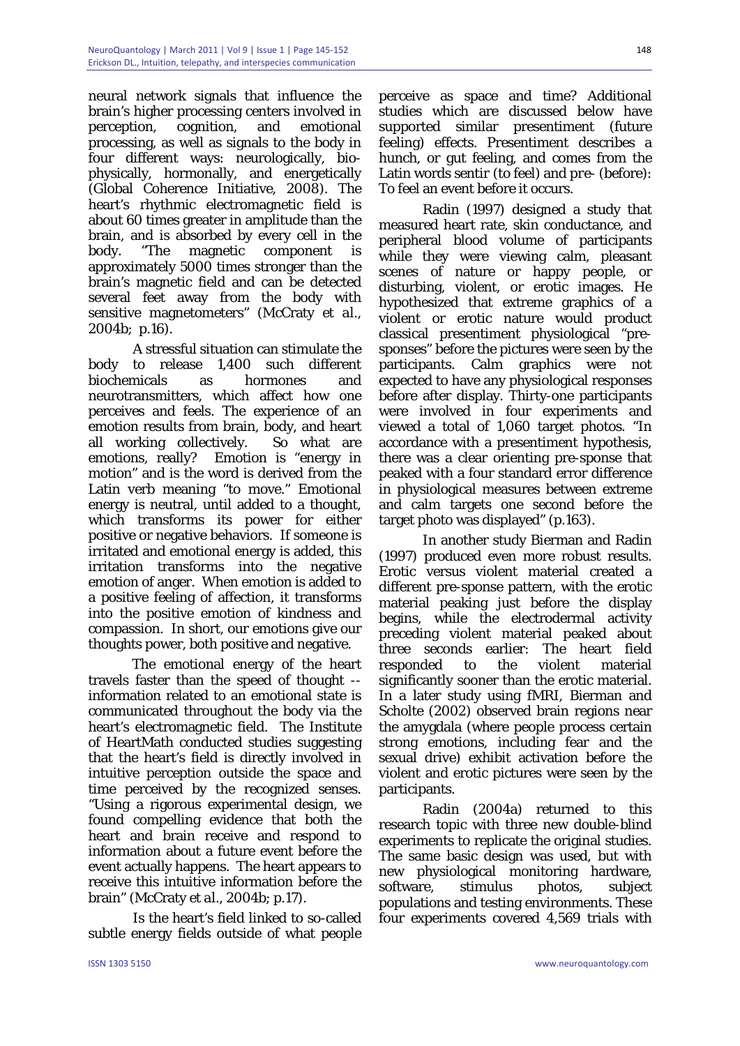neural network signals that influence the brain's higher processing centers involved in perception, cognition, and emotional processing, as well as signals to the body in four different ways: neurologically, biophysically, hormonally, and energetically (Global Coherence Initiative, 2008). The heart's rhythmic electromagnetic field is about 60 times greater in amplitude than the brain, and is absorbed by every cell in the body. "The magnetic component is approximately 5000 times stronger than the brain's magnetic field and can be detected several feet away from the body with sensitive magnetometers" (McCraty *et al.,* 2004b; p.16).

A stressful situation can stimulate the body to release 1,400 such different biochemicals as hormones and neurotransmitters, which affect how one perceives and feels. The experience of an emotion results from brain, body, and heart all working collectively. So what are emotions, really? Emotion is "energy in motion" and is the word is derived from the Latin verb meaning "to move." Emotional energy is neutral, until added to a thought, which transforms its power for either positive or negative behaviors. If someone is irritated and emotional energy is added, this irritation transforms into the negative emotion of anger. When emotion is added to a positive feeling of affection, it transforms into the positive emotion of kindness and compassion. In short, our emotions give our thoughts power, both positive and negative.

 The emotional energy of the heart travels faster than the speed of thought - information related to an emotional state is communicated throughout the body via the heart's electromagnetic field. The Institute of HeartMath conducted studies suggesting that the heart's field is directly involved in intuitive perception outside the space and time perceived by the recognized senses. "Using a rigorous experimental design, we found compelling evidence that both the heart and brain receive and respond to information about a future event *before* the event actually happens. The heart appears to receive this intuitive information before the brain" (McCraty *et al.,* 2004b; p.17).

Is the heart's field linked to so-called subtle energy fields outside of what people

perceive as space and time? Additional studies which are discussed below have supported similar presentiment (future feeling) effects. Presentiment describes a hunch, or gut feeling, and comes from the Latin words *sentir* (to feel) and *pre*- (before): To feel an event before it occurs.

 Radin (1997) designed a study that measured heart rate, skin conductance, and peripheral blood volume of participants while they were viewing calm, pleasant scenes of nature or happy people, or disturbing, violent, or erotic images. He hypothesized that extreme graphics of a violent or erotic nature would product classical presentiment physiological "presponses" before the pictures were seen by the participants. Calm graphics were not expected to have any physiological responses before after display. Thirty-one participants were involved in four experiments and viewed a total of 1,060 target photos. "In accordance with a presentiment hypothesis, there was a clear orienting pre-sponse that peaked with a four standard error difference in physiological measures between extreme and calm targets one second *before* the target photo was displayed" (p.163).

 In another study Bierman and Radin (1997) produced even more robust results. Erotic versus violent material created a different pre-sponse pattern, with the erotic material peaking just before the display begins, while the electrodermal activity preceding violent material peaked about three seconds earlier: The heart field responded to the violent material significantly sooner than the erotic material. In a later study using fMRI, Bierman and Scholte (2002) observed brain regions near the amygdala (where people process certain strong emotions, including fear and the sexual drive) exhibit activation *before* the violent and erotic pictures were seen by the participants.

 Radin (2004a) returned to this research topic with three new double-blind experiments to replicate the original studies. The same basic design was used, but with new physiological monitoring hardware, software, stimulus photos, subject populations and testing environments. These four experiments covered 4,569 trials with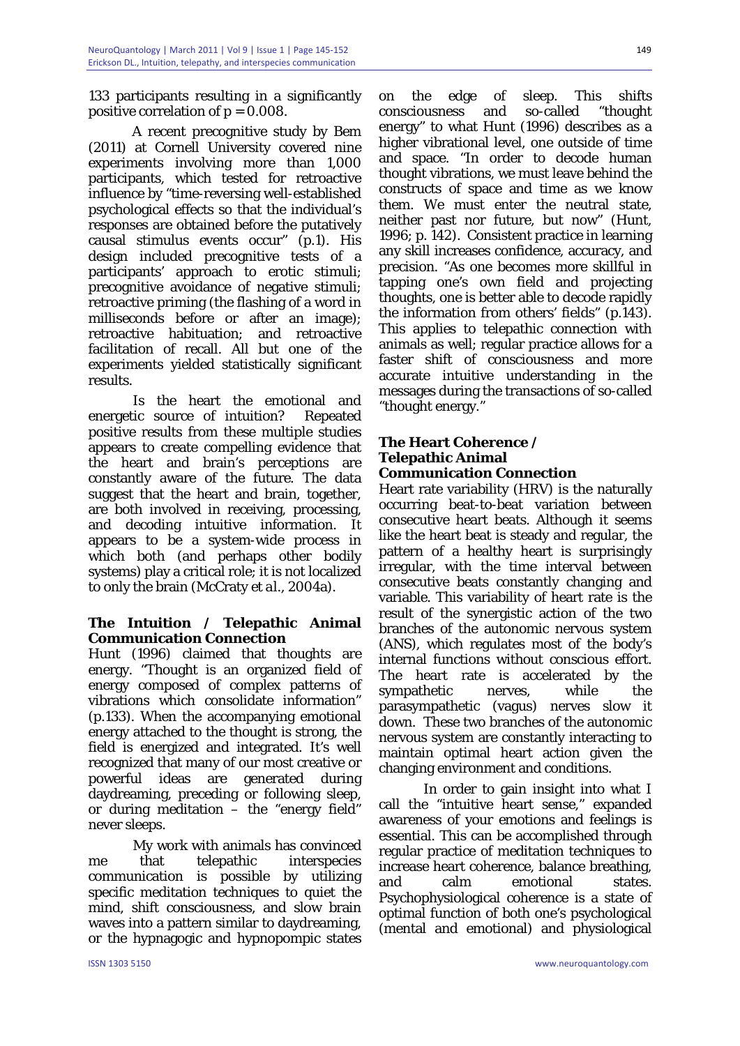133 participants resulting in a significantly positive correlation of *p* = 0.008.

 A recent precognitive study by Bem (2011) at Cornell University covered nine experiments involving more than 1,000 participants, which tested for retroactive influence by "time-reversing well-established psychological effects so that the individual's responses are obtained before the putatively causal stimulus events occur" (p.1). His design included precognitive tests of a participants' approach to erotic stimuli; precognitive avoidance of negative stimuli; retroactive priming (the flashing of a word in milliseconds before or after an image); retroactive habituation; and retroactive facilitation of recall. All but one of the experiments yielded statistically significant results.

Is the heart the emotional and energetic source of intuition? Repeated positive results from these multiple studies appears to create compelling evidence that the heart and brain's perceptions are constantly aware of the future. The data suggest that the heart and brain, together, are both involved in receiving, processing, and decoding intuitive information. It appears to be a system-wide process in which both (and perhaps other bodily systems) play a critical role; it is not localized to only the brain (McCraty *et al.,* 2004a).

## **The Intuition / Telepathic Animal Communication Connection**

Hunt (1996) claimed that thoughts are energy. "Thought is an organized field of energy composed of complex patterns of vibrations which consolidate information" (p.133). When the accompanying emotional energy attached to the thought is strong, the field is energized and integrated. It's well recognized that many of our most creative or powerful ideas are generated during daydreaming, preceding or following sleep, or during meditation – the "energy field" never sleeps.

My work with animals has convinced me that telepathic interspecies communication is possible by utilizing specific meditation techniques to quiet the mind, shift consciousness, and slow brain waves into a pattern similar to daydreaming, or the hypnagogic and hypnopompic states

on the edge of sleep. This shifts consciousness and so-called "thought energy" to what Hunt (1996) describes as a higher vibrational level, one outside of time and space. "In order to decode human thought vibrations, we must leave behind the constructs of space and time as we know them. We must enter the neutral state, neither past nor future, but now" (Hunt, 1996; p. 142). Consistent practice in learning any skill increases confidence, accuracy, and precision. "As one becomes more skillful in tapping one's own field and projecting thoughts, one is better able to decode rapidly the information from others' fields" (p.143). This applies to telepathic connection with animals as well; regular practice allows for a faster shift of consciousness and more accurate intuitive understanding in the messages during the transactions of so-called "thought energy."

## **The Heart Coherence / Telepathic Animal Communication Connection**

Heart rate variability (HRV) is the naturally occurring beat-to-beat variation between consecutive heart beats. Although it seems like the heart beat is steady and regular, the pattern of a healthy heart is surprisingly irregular, with the time interval between consecutive beats constantly changing and variable. This variability of heart rate is the result of the synergistic action of the two branches of the autonomic nervous system (ANS), which regulates most of the body's internal functions without conscious effort. The heart rate is accelerated by the sympathetic nerves, while the parasympathetic (vagus) nerves slow it down. These two branches of the autonomic nervous system are constantly interacting to maintain optimal heart action given the changing environment and conditions.

In order to gain insight into what I call the "intuitive heart sense," expanded awareness of your emotions and feelings is essential. This can be accomplished through regular practice of meditation techniques to increase heart coherence, balance breathing, and calm emotional states. Psychophysiological coherence is a state of optimal function of both one's psychological (mental and emotional) and physiological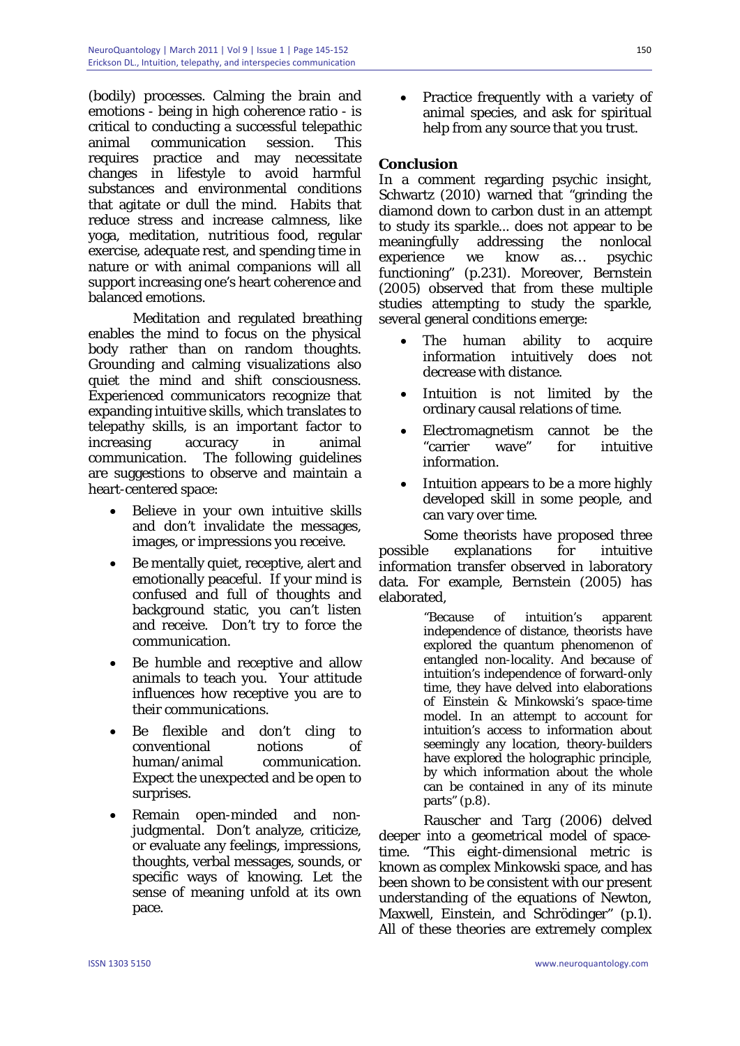(bodily) processes. Calming the brain and emotions - being in high coherence ratio - is critical to conducting a successful telepathic animal communication session. This requires practice and may necessitate changes in lifestyle to avoid harmful substances and environmental conditions that agitate or dull the mind. Habits that reduce stress and increase calmness, like yoga, meditation, nutritious food, regular exercise, adequate rest, and spending time in nature or with animal companions will all support increasing one's heart coherence and balanced emotions.

Meditation and regulated breathing enables the mind to focus on the physical body rather than on random thoughts. Grounding and calming visualizations also quiet the mind and shift consciousness. Experienced communicators recognize that expanding intuitive skills, which translates to telepathy skills, is an important factor to increasing accuracy in animal communication. The following guidelines are suggestions to observe and maintain a heart-centered space:

- Believe in your own intuitive skills and don't invalidate the messages, images, or impressions you receive.
- Be mentally quiet, receptive, alert and emotionally peaceful. If your mind is confused and full of thoughts and background static, you can't listen and receive. Don't try to force the communication.
- Be humble and receptive and allow animals to teach you. Your attitude influences how receptive you are to their communications.
- Be flexible and don't cling to conventional notions of human/animal communication. Expect the unexpected and be open to surprises.
- Remain open-minded and nonjudgmental. Don't analyze, criticize, or evaluate any feelings, impressions, thoughts, verbal messages, sounds, or specific ways of knowing. Let the sense of meaning unfold at its own pace.

• Practice frequently with a variety of animal species, and ask for spiritual help from any source that you trust.

## **Conclusion**

In a comment regarding psychic insight, Schwartz (2010) warned that "grinding the diamond down to carbon dust in an attempt to study its sparkle... does not appear to be meaningfully addressing the nonlocal experience we know as… psychic functioning" (p.231). Moreover, Bernstein (2005) observed that from these multiple studies attempting to study the sparkle, several general conditions emerge:

- The human ability to acquire information intuitively does not decrease with distance.
- Intuition is not limited by the ordinary causal relations of time.
- Electromagnetism cannot be the "carrier wave" for intuitive information.
- Intuition appears to be a more highly developed skill in some people, and can vary over time.

Some theorists have proposed three possible explanations for intuitive information transfer observed in laboratory data. For example, Bernstein (2005) has elaborated,

> "Because of intuition's apparent independence of distance, theorists have explored the quantum phenomenon of entangled non-locality. And because of intuition's independence of forward-only time, they have delved into elaborations of Einstein & Minkowski's space-time model. In an attempt to account for intuition's access to information about seemingly any location, theory-builders have explored the holographic principle, by which information about the whole can be contained in any of its minute parts" (p.8).

Rauscher and Targ (2006) delved deeper into a geometrical model of spacetime. "This eight-dimensional metric is known as complex Minkowski space, and has been shown to be consistent with our present understanding of the equations of Newton, Maxwell, Einstein, and Schrödinger" (p.1). All of these theories are extremely complex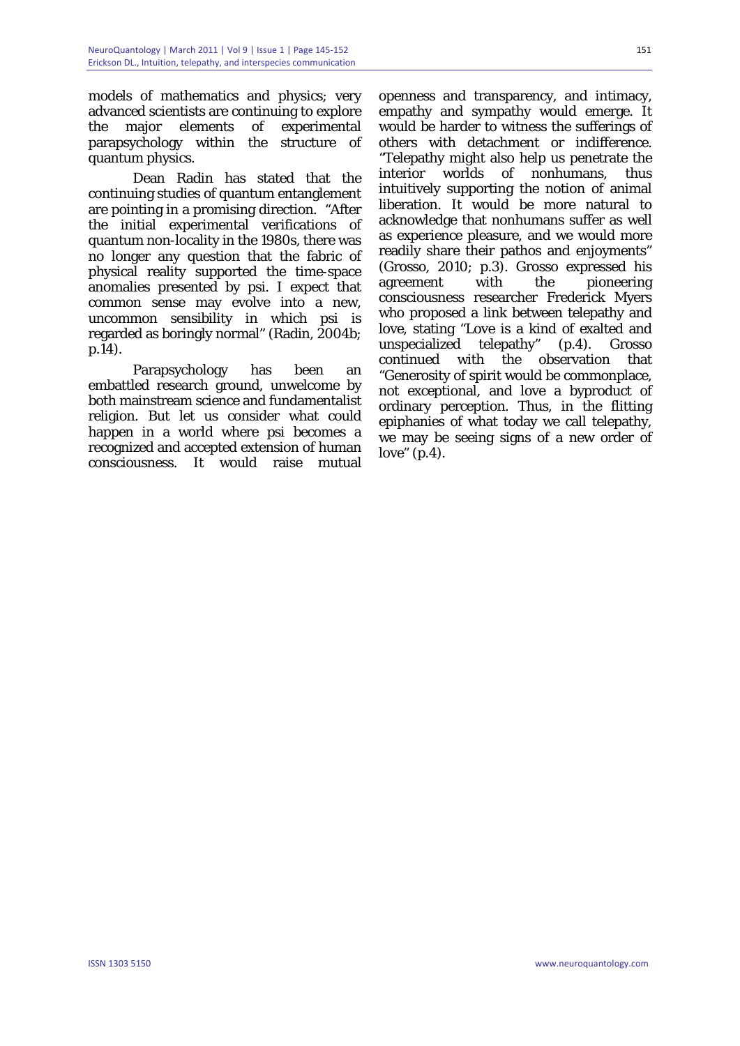models of mathematics and physics; very advanced scientists are continuing to explore the major elements of experimental parapsychology within the structure of quantum physics.

Dean Radin has stated that the continuing studies of quantum entanglement are pointing in a promising direction. "After the initial experimental verifications of quantum non-locality in the 1980s, there was no longer any question that the fabric of physical reality supported the time-space anomalies presented by psi. I expect that common sense may evolve into a new, uncommon sensibility in which psi is regarded as boringly normal" (Radin, 2004b; p.14).

Parapsychology has been an embattled research ground, unwelcome by both mainstream science and fundamentalist religion. But let us consider what could happen in a world where psi becomes a recognized and accepted extension of human consciousness. It would raise mutual

openness and transparency, and intimacy, empathy and sympathy would emerge. It would be harder to witness the sufferings of others with detachment or indifference. "Telepathy might also help us penetrate the interior worlds of nonhumans, thus intuitively supporting the notion of animal liberation. It would be more natural to acknowledge that nonhumans suffer as well as experience pleasure, and we would more readily share their pathos and enjoyments" (Grosso, 2010; p.3). Grosso expressed his agreement with the pioneering consciousness researcher Frederick Myers who proposed a link between telepathy and love, stating "Love is a kind of exalted and unspecialized telepathy" (p.4). Grosso continued with the observation that "Generosity of spirit would be commonplace, not exceptional, and love a byproduct of ordinary perception. Thus, in the flitting epiphanies of what today we call telepathy, we may be seeing signs of a new order of love" (p.4).